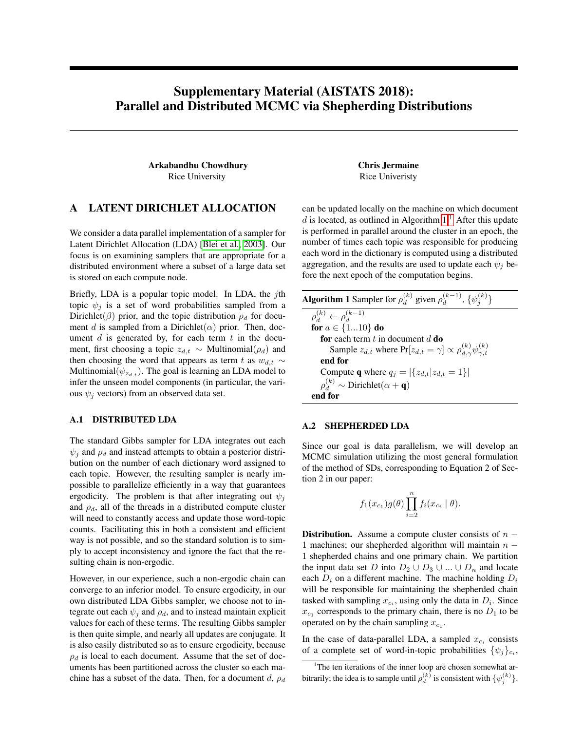# Supplementary Material (AISTATS 2018): Parallel and Distributed MCMC via Shepherding Distributions

Arkabandhu Chowdhury Chris Jermaine Rice University Rice University

## A LATENT DIRICHLET ALLOCATION

We consider a data parallel implementation of a sampler for Latent Dirichlet Allocation (LDA) [\[Blei et al., 2003\]](#page-1-0). Our focus is on examining samplers that are appropriate for a distributed environment where a subset of a large data set is stored on each compute node.

Briefly, LDA is a popular topic model. In LDA, the jth topic  $\psi_i$  is a set of word probabilities sampled from a Dirichlet( $\beta$ ) prior, and the topic distribution  $\rho_d$  for document d is sampled from a Dirichlet( $\alpha$ ) prior. Then, document  $d$  is generated by, for each term  $t$  in the document, first choosing a topic  $z_{d,t} \sim$  Multinomial( $\rho_d$ ) and then choosing the word that appears as term t as  $w_{d,t} \sim$ Multinomial( $\psi_{z_d,t}$ ). The goal is learning an LDA model to infer the unseen model components (in particular, the various  $\psi_i$  vectors) from an observed data set.

#### A.1 DISTRIBUTED LDA

The standard Gibbs sampler for LDA integrates out each  $\psi_j$  and  $\rho_d$  and instead attempts to obtain a posterior distribution on the number of each dictionary word assigned to each topic. However, the resulting sampler is nearly impossible to parallelize efficiently in a way that guarantees ergodicity. The problem is that after integrating out  $\psi_i$ and  $\rho_d$ , all of the threads in a distributed compute cluster will need to constantly access and update those word-topic counts. Facilitating this in both a consistent and efficient way is not possible, and so the standard solution is to simply to accept inconsistency and ignore the fact that the resulting chain is non-ergodic.

However, in our experience, such a non-ergodic chain can converge to an inferior model. To ensure ergodicity, in our own distributed LDA Gibbs sampler, we choose not to integrate out each  $\psi_i$  and  $\rho_d$ , and to instead maintain explicit values for each of these terms. The resulting Gibbs sampler is then quite simple, and nearly all updates are conjugate. It is also easily distributed so as to ensure ergodicity, because  $\rho_d$  is local to each document. Assume that the set of documents has been partitioned across the cluster so each machine has a subset of the data. Then, for a document d,  $\rho_d$ 

can be updated locally on the machine on which document  $d$  is located, as outlined in Algorithm  $1<sup>1</sup>$  $1<sup>1</sup>$  After this update is performed in parallel around the cluster in an epoch, the number of times each topic was responsible for producing each word in the dictionary is computed using a distributed aggregation, and the results are used to update each  $\psi_i$  before the next epoch of the computation begins.

<span id="page-0-0"></span>**Algorithm 1** Sampler for  $\rho_d^{(k)}$  $\binom{k}{d}$  given  $\rho_d^{(k-1)}$  $_{d}^{(k-1)},\{\psi_{j}^{(k)}\}$  $\rho_d^{(k)} \leftarrow \rho_d^{(k-1)}$ d for  $a \in \{1...10\}$  do for each term  $t$  in document  $d$  do Sample  $z_{d,t}$  where  $Pr[z_{d,t} = \gamma] \propto \rho_{d,\gamma}^{(k)} \psi_{\gamma,t}^{(k)}$ end for Compute **q** where  $q_j = |\{z_{d,t} | z_{d,t} = 1\}|$  $\rho_d^{(k)} \sim \text{Dirichlet}(\alpha + \mathbf{q})$ end for

#### A.2 SHEPHERDED LDA

Since our goal is data parallelism, we will develop an MCMC simulation utilizing the most general formulation of the method of SDs, corresponding to Equation 2 of Section 2 in our paper:

$$
f_1(x_{c_1})g(\theta)\prod_{i=2}^n f_i(x_{c_i}\mid\theta).
$$

Distribution. Assume a compute cluster consists of  $n -$ 1 machines; our shepherded algorithm will maintain  $n -$ 1 shepherded chains and one primary chain. We partition the input data set D into  $D_2 \cup D_3 \cup ... \cup D_n$  and locate each  $D_i$  on a different machine. The machine holding  $D_i$ will be responsible for maintaining the shepherded chain tasked with sampling  $x_{c_i}$ , using only the data in  $D_i$ . Since  $x_{c_1}$  corresponds to the primary chain, there is no  $D_1$  to be operated on by the chain sampling  $x_{c_1}$ .

In the case of data-parallel LDA, a sampled  $x_{c_i}$  consists of a complete set of word-in-topic probabilities  $\{\psi_j\}_{c_i}$ ,

<span id="page-0-1"></span><sup>&</sup>lt;sup>1</sup>The ten iterations of the inner loop are chosen somewhat arbitrarily; the idea is to sample until  $\rho_d^{(k)}$  is consistent with  $\{\psi_j^{(k)}\}.$